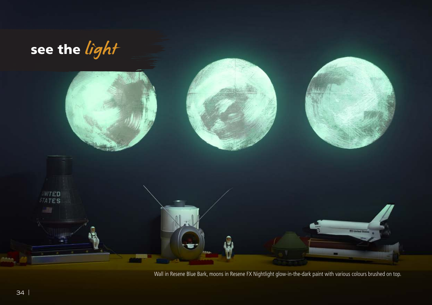

Wall in Resene Blue Bark, moons in Resene FX Nightlight glow-in-the-dark paint with various colours brushed on top.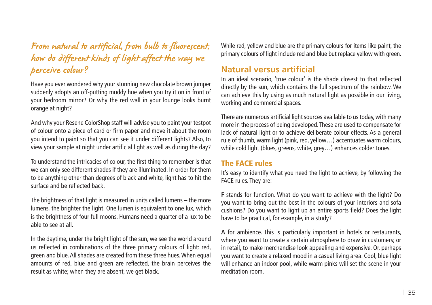# From natural to artificial, from bulb to fluorescent, how do different kinds of light affect the way we perceive colour?

Have you ever wondered why your stunning new chocolate brown jumper suddenly adopts an off-putting muddy hue when you try it on in front of your bedroom mirror? Or why the red wall in your lounge looks burnt orange at night?

And why your Resene ColorShop staff will advise you to paint your testpot of colour onto a piece of card or firm paper and move it about the room you intend to paint so that you can see it under different lights? Also, to view your sample at night under artificial light as well as during the day?

To understand the intricacies of colour, the first thing to remember is that we can only see different shades if they are illuminated. In order for them to be anything other than degrees of black and white, light has to hit the surface and be reflected back.

The brightness of that light is measured in units called lumens – the more lumens, the brighter the light. One lumen is equivalent to one lux, which is the brightness of four full moons. Humans need a quarter of a lux to be able to see at all.

In the daytime, under the bright light of the sun, we see the world around us reflected in combinations of the three primary colours of light: red, green and blue. All shades are created from these three hues. When equal amounts of red, blue and green are reflected, the brain perceives the result as white; when they are absent, we get black.

While red, yellow and blue are the primary colours for items like paint, the primary colours of light include red and blue but replace yellow with green.

# **Natural versus artificial**

In an ideal scenario, 'true colour' is the shade closest to that reflected directly by the sun, which contains the full spectrum of the rainbow. We can achieve this by using as much natural light as possible in our living, working and commercial spaces.

There are numerous artificial light sources available to us today, with many more in the process of being developed. These are used to compensate for lack of natural light or to achieve deliberate colour effects. As a general rule of thumb, warm light (pink, red, yellow…) accentuates warm colours, while cold light (blues, greens, white, grey…) enhances colder tones.

# The FACE rules

It's easy to identify what you need the light to achieve, by following the FACE rules. They are:

**F** stands for function. What do you want to achieve with the light? Do you want to bring out the best in the colours of your interiors and sofa cushions? Do you want to light up an entire sports field? Does the light have to be practical, for example, in a study?

**A** for ambience. This is particularly important in hotels or restaurants, where you want to create a certain atmosphere to draw in customers; or in retail, to make merchandise look appealing and expensive. Or, perhaps you want to create a relaxed mood in a casual living area. Cool, blue light will enhance an indoor pool, while warm pinks will set the scene in your meditation room.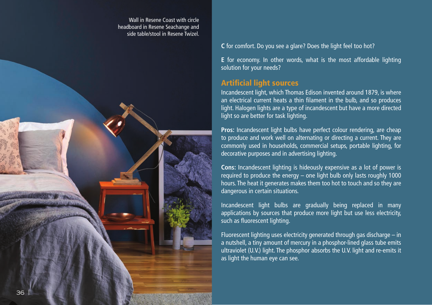Wall in Resene Coast with circle headboard in Resene Seachange and side table/stool in Resene Twizel.



#### **C** for comfort. Do you see a glare? Does the light feel too hot?

**E** for economy. In other words, what is the most affordable lighting solution for your needs?

# Artificial light sources

Incandescent light, which Thomas Edison invented around 1879, is where an electrical current heats a thin filament in the bulb, and so produces light. Halogen lights are a type of incandescent but have a more directed light so are better for task lighting.

**Pros:** Incandescent light bulbs have perfect colour rendering, are cheap to produce and work well on alternating or directing a current. They are commonly used in households, commercial setups, portable lighting, for decorative purposes and in advertising lighting.

**Cons:** Incandescent lighting is hideously expensive as a lot of power is required to produce the energy – one light bulb only lasts roughly 1000 hours. The heat it generates makes them too hot to touch and so they are dangerous in certain situations.

Incandescent light bulbs are gradually being replaced in many applications by sources that produce more light but use less electricity, such as fluorescent lighting.

Fluorescent lighting uses electricity generated through gas discharge – in a nutshell, a tiny amount of mercury in a phosphor-lined glass tube emits ultraviolet (U.V.) light. The phosphor absorbs the U.V. light and re-emits it as light the human eye can see.